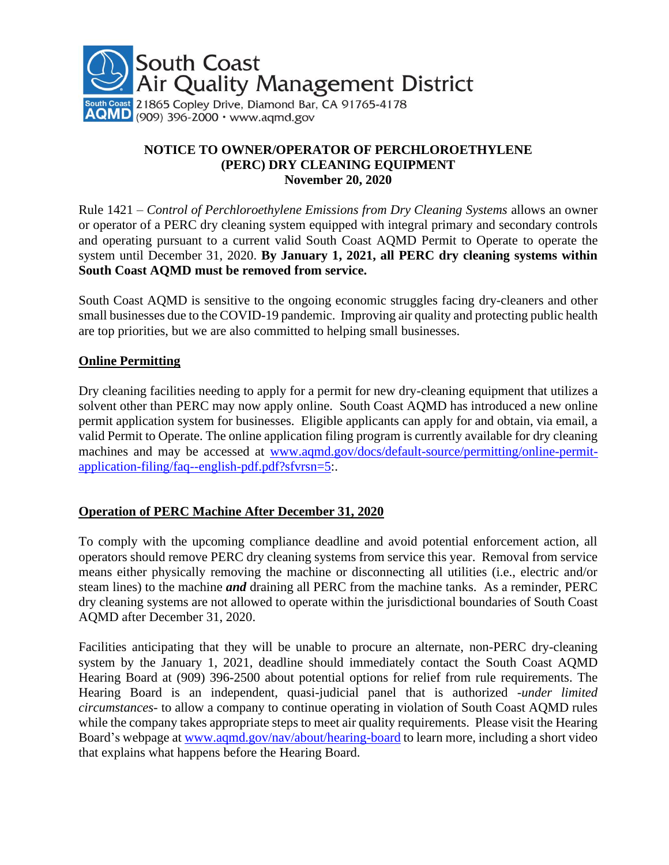

## **NOTICE TO OWNER/OPERATOR OF PERCHLOROETHYLENE (PERC) DRY CLEANING EQUIPMENT November 20, 2020**

Rule 1421 *– Control of Perchloroethylene Emissions from Dry Cleaning Systems* allows an owner or operator of a PERC dry cleaning system equipped with integral primary and secondary controls and operating pursuant to a current valid South Coast AQMD Permit to Operate to operate the system until December 31, 2020. **By January 1, 2021, all PERC dry cleaning systems within South Coast AQMD must be removed from service.**

South Coast AQMD is sensitive to the ongoing economic struggles facing dry-cleaners and other small businesses due to the COVID-19 pandemic. Improving air quality and protecting public health are top priorities, but we are also committed to helping small businesses.

## **Online Permitting**

Dry cleaning facilities needing to apply for a permit for new dry-cleaning equipment that utilizes a solvent other than PERC may now apply online. South Coast AQMD has introduced a new online permit application system for businesses. Eligible applicants can apply for and obtain, via email, a valid Permit to Operate. The online application filing program is currently available for dry cleaning machines and may be accessed at [www.aqmd.gov/docs/default-source/permitting/online-permit](http://www.aqmd.gov/docs/default-source/permitting/online-permit-application-filing/faq--english-pdf.pdf?sfvrsn=5)[application-filing/faq--english-pdf.pdf?sfvrsn=5:](http://www.aqmd.gov/docs/default-source/permitting/online-permit-application-filing/faq--english-pdf.pdf?sfvrsn=5).

## **Operation of PERC Machine After December 31, 2020**

To comply with the upcoming compliance deadline and avoid potential enforcement action, all operators should remove PERC dry cleaning systems from service this year. Removal from service means either physically removing the machine or disconnecting all utilities (i.e., electric and/or steam lines) to the machine *and* draining all PERC from the machine tanks. As a reminder, PERC dry cleaning systems are not allowed to operate within the jurisdictional boundaries of South Coast AQMD after December 31, 2020.

Facilities anticipating that they will be unable to procure an alternate, non-PERC dry-cleaning system by the January 1, 2021, deadline should immediately contact the South Coast AQMD Hearing Board at (909) 396-2500 about potential options for relief from rule requirements. The Hearing Board is an independent, quasi-judicial panel that is authorized -*under limited circumstances*- to allow a company to continue operating in violation of South Coast AQMD rules while the company takes appropriate steps to meet air quality requirements. Please visit the Hearing Board's webpage at [www.aqmd.gov/nav/about/hearing-board](http://www.aqmd.gov/nav/about/hearing-board) to learn more, including a short video that explains what happens before the Hearing Board.